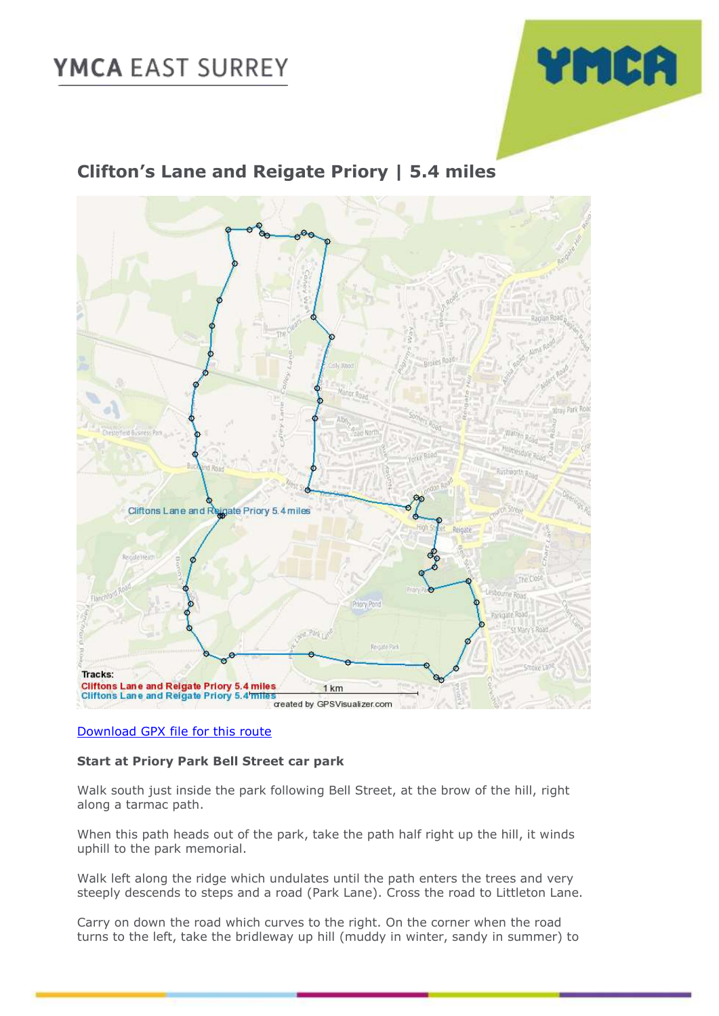# **YMCA EAST SURREY**



### **Clifton's Lane and Reigate Priory | 5.4 miles**



#### [Download GPX file for this route](https://1drv.ms/u/s!Au_1hsoZeiF5jSSRMInNome6Glzs)

#### **Start at Priory Park Bell Street car park**

Walk south just inside the park following Bell Street, at the brow of the hill, right along a tarmac path.

When this path heads out of the park, take the path half right up the hill, it winds uphill to the park memorial.

Walk left along the ridge which undulates until the path enters the trees and very steeply descends to steps and a road (Park Lane). Cross the road to Littleton Lane.

Carry on down the road which curves to the right. On the corner when the road turns to the left, take the bridleway up hill (muddy in winter, sandy in summer) to